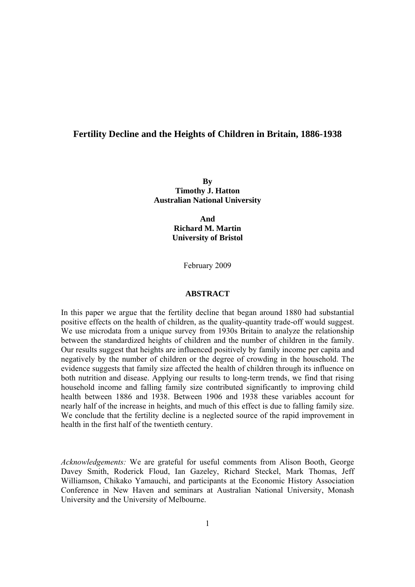### **Fertility Decline and the Heights of Children in Britain, 1886-1938**

**By Timothy J. Hatton Australian National University** 

> **And Richard M. Martin University of Bristol**

> > February 2009

#### **ABSTRACT**

In this paper we argue that the fertility decline that began around 1880 had substantial positive effects on the health of children, as the quality-quantity trade-off would suggest. We use microdata from a unique survey from 1930s Britain to analyze the relationship between the standardized heights of children and the number of children in the family. Our results suggest that heights are influenced positively by family income per capita and negatively by the number of children or the degree of crowding in the household. The evidence suggests that family size affected the health of children through its influence on both nutrition and disease. Applying our results to long-term trends, we find that rising household income and falling family size contributed significantly to improving child health between 1886 and 1938. Between 1906 and 1938 these variables account for nearly half of the increase in heights, and much of this effect is due to falling family size. We conclude that the fertility decline is a neglected source of the rapid improvement in health in the first half of the twentieth century.

*Acknowledgements:* We are grateful for useful comments from Alison Booth, George Davey Smith, Roderick Floud, Ian Gazeley, Richard Steckel, Mark Thomas, Jeff Williamson, Chikako Yamauchi, and participants at the Economic History Association Conference in New Haven and seminars at Australian National University, Monash University and the University of Melbourne.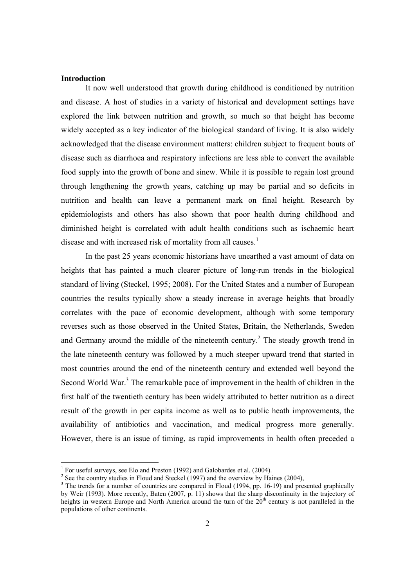#### **Introduction**

It now well understood that growth during childhood is conditioned by nutrition and disease. A host of studies in a variety of historical and development settings have explored the link between nutrition and growth, so much so that height has become widely accepted as a key indicator of the biological standard of living. It is also widely acknowledged that the disease environment matters: children subject to frequent bouts of disease such as diarrhoea and respiratory infections are less able to convert the available food supply into the growth of bone and sinew. While it is possible to regain lost ground through lengthening the growth years, catching up may be partial and so deficits in nutrition and health can leave a permanent mark on final height. Research by epidemiologists and others has also shown that poor health during childhood and diminished height is correlated with adult health conditions such as ischaemic heart disease and with increased risk of mortality from all causes.<sup>1</sup>

In the past 25 years economic historians have unearthed a vast amount of data on heights that has painted a much clearer picture of long-run trends in the biological standard of living (Steckel, 1995; 2008). For the United States and a number of European countries the results typically show a steady increase in average heights that broadly correlates with the pace of economic development, although with some temporary reverses such as those observed in the United States, Britain, the Netherlands, Sweden and Germany around the middle of the nineteenth century.<sup>2</sup> The steady growth trend in the late nineteenth century was followed by a much steeper upward trend that started in most countries around the end of the nineteenth century and extended well beyond the Second World War.<sup>3</sup> The remarkable pace of improvement in the health of children in the first half of the twentieth century has been widely attributed to better nutrition as a direct result of the growth in per capita income as well as to public heath improvements, the availability of antibiotics and vaccination, and medical progress more generally. However, there is an issue of timing, as rapid improvements in health often preceded a

<sup>&</sup>lt;sup>1</sup> For useful surveys, see Elo and Preston (1992) and Galobardes et al. (2004).

<sup>&</sup>lt;sup>2</sup> See the country studies in Floud and Steckel (1997) and the overview by Haines (2004),

 $3$  The trends for a number of countries are compared in Floud (1994, pp. 16-19) and presented graphically by Weir (1993). More recently, Baten (2007, p. 11) shows that the sharp discontinuity in the trajectory of heights in western Europe and North America around the turn of the  $20<sup>th</sup>$  century is not paralleled in the populations of other continents.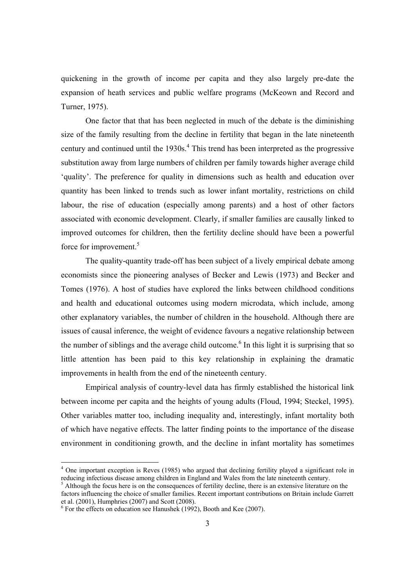quickening in the growth of income per capita and they also largely pre-date the expansion of heath services and public welfare programs (McKeown and Record and Turner, 1975).

One factor that that has been neglected in much of the debate is the diminishing size of the family resulting from the decline in fertility that began in the late nineteenth century and continued until the  $1930s<sup>4</sup>$ . This trend has been interpreted as the progressive substitution away from large numbers of children per family towards higher average child 'quality'. The preference for quality in dimensions such as health and education over quantity has been linked to trends such as lower infant mortality, restrictions on child labour, the rise of education (especially among parents) and a host of other factors associated with economic development. Clearly, if smaller families are causally linked to improved outcomes for children, then the fertility decline should have been a powerful force for improvement.<sup>5</sup>

The quality-quantity trade-off has been subject of a lively empirical debate among economists since the pioneering analyses of Becker and Lewis (1973) and Becker and Tomes (1976). A host of studies have explored the links between childhood conditions and health and educational outcomes using modern microdata, which include, among other explanatory variables, the number of children in the household. Although there are issues of causal inference, the weight of evidence favours a negative relationship between the number of siblings and the average child outcome.<sup>6</sup> In this light it is surprising that so little attention has been paid to this key relationship in explaining the dramatic improvements in health from the end of the nineteenth century.

Empirical analysis of country-level data has firmly established the historical link between income per capita and the heights of young adults (Floud, 1994; Steckel, 1995). Other variables matter too, including inequality and, interestingly, infant mortality both of which have negative effects. The latter finding points to the importance of the disease environment in conditioning growth, and the decline in infant mortality has sometimes

<sup>&</sup>lt;sup>4</sup> One important exception is Reves (1985) who argued that declining fertility played a significant role in reducing infectious disease among children in England and Wales from the late nineteenth century.

<sup>5</sup> Although the focus here is on the consequences of fertility decline, there is an extensive literature on the factors influencing the choice of smaller families. Recent important contributions on Britain include Garrett et al. (2001), Humphries (2007) and Scott (2008).<br><sup>6</sup> For the effects on education see Hanushek (1992), Booth and Kee (2007).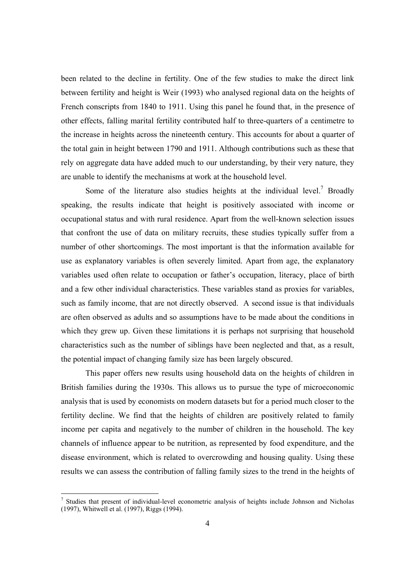been related to the decline in fertility. One of the few studies to make the direct link between fertility and height is Weir (1993) who analysed regional data on the heights of French conscripts from 1840 to 1911. Using this panel he found that, in the presence of other effects, falling marital fertility contributed half to three-quarters of a centimetre to the increase in heights across the nineteenth century. This accounts for about a quarter of the total gain in height between 1790 and 1911. Although contributions such as these that rely on aggregate data have added much to our understanding, by their very nature, they are unable to identify the mechanisms at work at the household level.

Some of the literature also studies heights at the individual level.<sup>7</sup> Broadly speaking, the results indicate that height is positively associated with income or occupational status and with rural residence. Apart from the well-known selection issues that confront the use of data on military recruits, these studies typically suffer from a number of other shortcomings. The most important is that the information available for use as explanatory variables is often severely limited. Apart from age, the explanatory variables used often relate to occupation or father's occupation, literacy, place of birth and a few other individual characteristics. These variables stand as proxies for variables, such as family income, that are not directly observed. A second issue is that individuals are often observed as adults and so assumptions have to be made about the conditions in which they grew up. Given these limitations it is perhaps not surprising that household characteristics such as the number of siblings have been neglected and that, as a result, the potential impact of changing family size has been largely obscured.

This paper offers new results using household data on the heights of children in British families during the 1930s. This allows us to pursue the type of microeconomic analysis that is used by economists on modern datasets but for a period much closer to the fertility decline. We find that the heights of children are positively related to family income per capita and negatively to the number of children in the household. The key channels of influence appear to be nutrition, as represented by food expenditure, and the disease environment, which is related to overcrowding and housing quality. Using these results we can assess the contribution of falling family sizes to the trend in the heights of

<sup>&</sup>lt;sup>7</sup> Studies that present of individual-level econometric analysis of heights include Johnson and Nicholas (1997), Whitwell et al. (1997), Riggs (1994).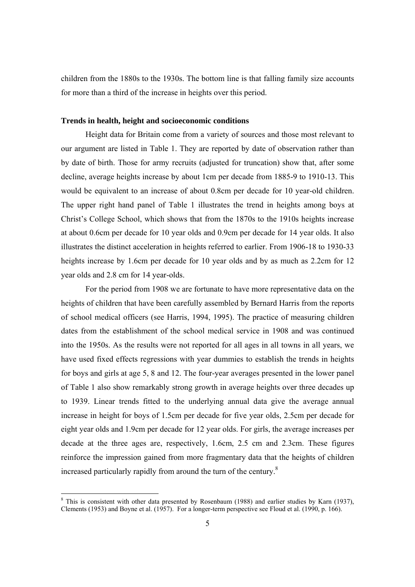children from the 1880s to the 1930s. The bottom line is that falling family size accounts for more than a third of the increase in heights over this period.

#### **Trends in health, height and socioeconomic conditions**

 Height data for Britain come from a variety of sources and those most relevant to our argument are listed in Table 1. They are reported by date of observation rather than by date of birth. Those for army recruits (adjusted for truncation) show that, after some decline, average heights increase by about 1cm per decade from 1885-9 to 1910-13. This would be equivalent to an increase of about 0.8cm per decade for 10 year-old children. The upper right hand panel of Table 1 illustrates the trend in heights among boys at Christ's College School, which shows that from the 1870s to the 1910s heights increase at about 0.6cm per decade for 10 year olds and 0.9cm per decade for 14 year olds. It also illustrates the distinct acceleration in heights referred to earlier. From 1906-18 to 1930-33 heights increase by 1.6cm per decade for 10 year olds and by as much as 2.2cm for 12 year olds and 2.8 cm for 14 year-olds.

For the period from 1908 we are fortunate to have more representative data on the heights of children that have been carefully assembled by Bernard Harris from the reports of school medical officers (see Harris, 1994, 1995). The practice of measuring children dates from the establishment of the school medical service in 1908 and was continued into the 1950s. As the results were not reported for all ages in all towns in all years, we have used fixed effects regressions with year dummies to establish the trends in heights for boys and girls at age 5, 8 and 12. The four-year averages presented in the lower panel of Table 1 also show remarkably strong growth in average heights over three decades up to 1939. Linear trends fitted to the underlying annual data give the average annual increase in height for boys of 1.5cm per decade for five year olds, 2.5cm per decade for eight year olds and 1.9cm per decade for 12 year olds. For girls, the average increases per decade at the three ages are, respectively, 1.6cm, 2.5 cm and 2.3cm. These figures reinforce the impression gained from more fragmentary data that the heights of children increased particularly rapidly from around the turn of the century.<sup>8</sup>

 $8$  This is consistent with other data presented by Rosenbaum (1988) and earlier studies by Karn (1937), Clements (1953) and Boyne et al. (1957). For a longer-term perspective see Floud et al. (1990, p. 166).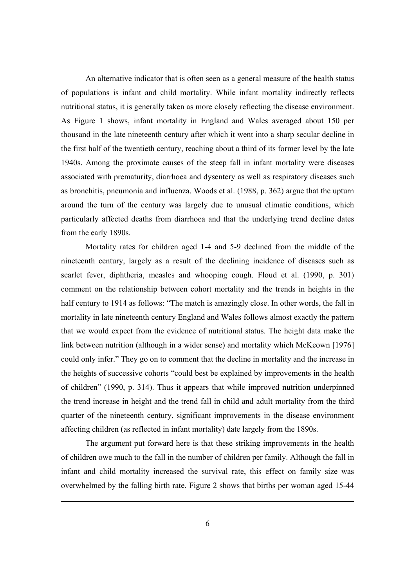An alternative indicator that is often seen as a general measure of the health status of populations is infant and child mortality. While infant mortality indirectly reflects nutritional status, it is generally taken as more closely reflecting the disease environment. As Figure 1 shows, infant mortality in England and Wales averaged about 150 per thousand in the late nineteenth century after which it went into a sharp secular decline in the first half of the twentieth century, reaching about a third of its former level by the late 1940s. Among the proximate causes of the steep fall in infant mortality were diseases associated with prematurity, diarrhoea and dysentery as well as respiratory diseases such as bronchitis, pneumonia and influenza. Woods et al. (1988, p. 362) argue that the upturn around the turn of the century was largely due to unusual climatic conditions, which particularly affected deaths from diarrhoea and that the underlying trend decline dates from the early 1890s.

Mortality rates for children aged 1-4 and 5-9 declined from the middle of the nineteenth century, largely as a result of the declining incidence of diseases such as scarlet fever, diphtheria, measles and whooping cough. Floud et al. (1990, p. 301) comment on the relationship between cohort mortality and the trends in heights in the half century to 1914 as follows: "The match is amazingly close. In other words, the fall in mortality in late nineteenth century England and Wales follows almost exactly the pattern that we would expect from the evidence of nutritional status. The height data make the link between nutrition (although in a wider sense) and mortality which McKeown [1976] could only infer." They go on to comment that the decline in mortality and the increase in the heights of successive cohorts "could best be explained by improvements in the health of children" (1990, p. 314). Thus it appears that while improved nutrition underpinned the trend increase in height and the trend fall in child and adult mortality from the third quarter of the nineteenth century, significant improvements in the disease environment affecting children (as reflected in infant mortality) date largely from the 1890s.

 The argument put forward here is that these striking improvements in the health of children owe much to the fall in the number of children per family. Although the fall in infant and child mortality increased the survival rate, this effect on family size was overwhelmed by the falling birth rate. Figure 2 shows that births per woman aged 15-44

 $\overline{a}$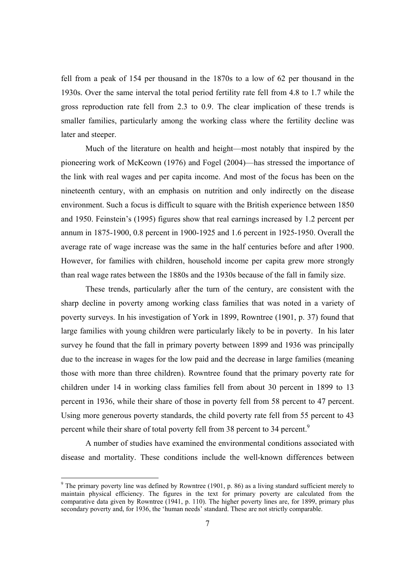fell from a peak of 154 per thousand in the 1870s to a low of 62 per thousand in the 1930s. Over the same interval the total period fertility rate fell from 4.8 to 1.7 while the gross reproduction rate fell from 2.3 to 0.9. The clear implication of these trends is smaller families, particularly among the working class where the fertility decline was later and steeper.

Much of the literature on health and height—most notably that inspired by the pioneering work of McKeown (1976) and Fogel (2004)—has stressed the importance of the link with real wages and per capita income. And most of the focus has been on the nineteenth century, with an emphasis on nutrition and only indirectly on the disease environment. Such a focus is difficult to square with the British experience between 1850 and 1950. Feinstein's (1995) figures show that real earnings increased by 1.2 percent per annum in 1875-1900, 0.8 percent in 1900-1925 and 1.6 percent in 1925-1950. Overall the average rate of wage increase was the same in the half centuries before and after 1900. However, for families with children, household income per capita grew more strongly than real wage rates between the 1880s and the 1930s because of the fall in family size.

These trends, particularly after the turn of the century, are consistent with the sharp decline in poverty among working class families that was noted in a variety of poverty surveys. In his investigation of York in 1899, Rowntree (1901, p. 37) found that large families with young children were particularly likely to be in poverty. In his later survey he found that the fall in primary poverty between 1899 and 1936 was principally due to the increase in wages for the low paid and the decrease in large families (meaning those with more than three children). Rowntree found that the primary poverty rate for children under 14 in working class families fell from about 30 percent in 1899 to 13 percent in 1936, while their share of those in poverty fell from 58 percent to 47 percent. Using more generous poverty standards, the child poverty rate fell from 55 percent to 43 percent while their share of total poverty fell from 38 percent to 34 percent.<sup>9</sup>

A number of studies have examined the environmental conditions associated with disease and mortality. These conditions include the well-known differences between

<sup>&</sup>lt;sup>9</sup> The primary poverty line was defined by Rowntree (1901, p. 86) as a living standard sufficient merely to maintain physical efficiency. The figures in the text for primary poverty are calculated from the comparative data given by Rowntree (1941, p. 110). The higher poverty lines are, for 1899, primary plus secondary poverty and, for 1936, the 'human needs' standard. These are not strictly comparable.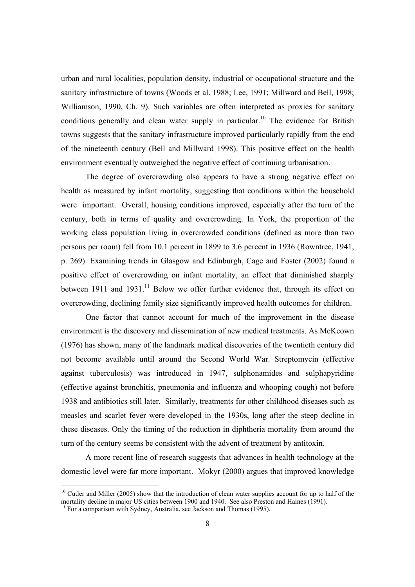urban and rural localities, population density, industrial or occupational structure and the sanitary infrastructure of towns (Woods et al. 1988; Lee, 1991; Millward and Bell, 1998; Williamson, 1990, Ch. 9). Such variables are often interpreted as proxies for sanitary conditions generally and clean water supply in particular.<sup>10</sup> The evidence for British towns suggests that the sanitary infrastructure improved particularly rapidly from the end of the nineteenth century (Bell and Millward 1998). This positive effect on the health environment eventually outweighed the negative effect of continuing urbanisation.

The degree of overcrowding also appears to have a strong negative effect on health as measured by infant mortality, suggesting that conditions within the household were important. Overall, housing conditions improved, especially after the turn of the century, both in terms of quality and overcrowding. In York, the proportion of the working class population living in overcrowded conditions (defined as more than two persons per room) fell from 10.1 percent in 1899 to 3.6 percent in 1936 (Rowntree, 1941, p. 269). Examining trends in Glasgow and Edinburgh, Cage and Foster (2002) found a positive effect of overcrowding on infant mortality, an effect that diminished sharply between 1911 and 1931.<sup>11</sup> Below we offer further evidence that, through its effect on overcrowding, declining family size significantly improved health outcomes for children.

One factor that cannot account for much of the improvement in the disease environment is the discovery and dissemination of new medical treatments. As McKeown (1976) has shown, many of the landmark medical discoveries of the twentieth century did not become available until around the Second World War. Streptomycin (effective against tuberculosis) was introduced in 1947, sulphonamides and sulphapyridine (effective against bronchitis, pneumonia and influenza and whooping cough) not before 1938 and antibiotics still later. Similarly, treatments for other childhood diseases such as measles and scarlet fever were developed in the 1930s, long after the steep decline in these diseases. Only the timing of the reduction in diphtheria mortality from around the turn of the century seems be consistent with the advent of treatment by antitoxin.

A more recent line of research suggests that advances in health technology at the domestic level were far more important. Mokyr (2000) argues that improved knowledge

<sup>&</sup>lt;sup>10</sup> Cutler and Miller (2005) show that the introduction of clean water supplies account for up to half of the mortality decline in major US cities between 1900 and 1940. See also Preston and Haines (1991).  $11$  For a comparison with Sydney, Australia, see Jackson and Thomas (1995).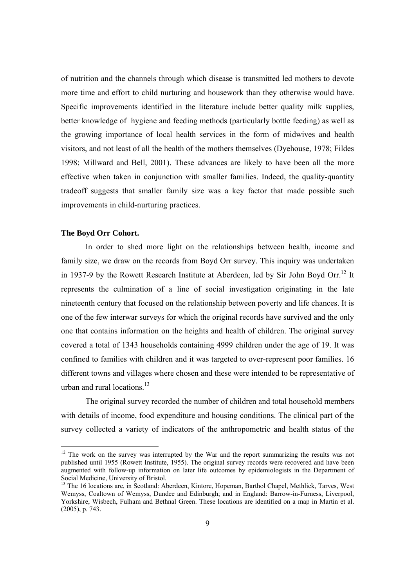of nutrition and the channels through which disease is transmitted led mothers to devote more time and effort to child nurturing and housework than they otherwise would have. Specific improvements identified in the literature include better quality milk supplies, better knowledge of hygiene and feeding methods (particularly bottle feeding) as well as the growing importance of local health services in the form of midwives and health visitors, and not least of all the health of the mothers themselves (Dyehouse, 1978; Fildes 1998; Millward and Bell, 2001). These advances are likely to have been all the more effective when taken in conjunction with smaller families. Indeed, the quality-quantity tradeoff suggests that smaller family size was a key factor that made possible such improvements in child-nurturing practices.

### **The Boyd Orr Cohort.**

In order to shed more light on the relationships between health, income and family size, we draw on the records from Boyd Orr survey. This inquiry was undertaken in 1937-9 by the Rowett Research Institute at Aberdeen, led by Sir John Boyd Orr.<sup>12</sup> It represents the culmination of a line of social investigation originating in the late nineteenth century that focused on the relationship between poverty and life chances. It is one of the few interwar surveys for which the original records have survived and the only one that contains information on the heights and health of children. The original survey covered a total of 1343 households containing 4999 children under the age of 19. It was confined to families with children and it was targeted to over-represent poor families. 16 different towns and villages where chosen and these were intended to be representative of urban and rural locations. $^{13}$ 

The original survey recorded the number of children and total household members with details of income, food expenditure and housing conditions. The clinical part of the survey collected a variety of indicators of the anthropometric and health status of the

 $12$  The work on the survey was interrupted by the War and the report summarizing the results was not published until 1955 (Rowett Institute, 1955). The original survey records were recovered and have been augmented with follow-up information on later life outcomes by epidemiologists in the Department of Social Medicine, University of Bristol.

<sup>&</sup>lt;sup>13</sup> The 16 locations are, in Scotland: Aberdeen, Kintore, Hopeman, Barthol Chapel, Methlick, Tarves, West Wemyss, Coaltown of Wemyss, Dundee and Edinburgh; and in England: Barrow-in-Furness, Liverpool, Yorkshire, Wisbech, Fulham and Bethnal Green. These locations are identified on a map in Martin et al. (2005), p. 743.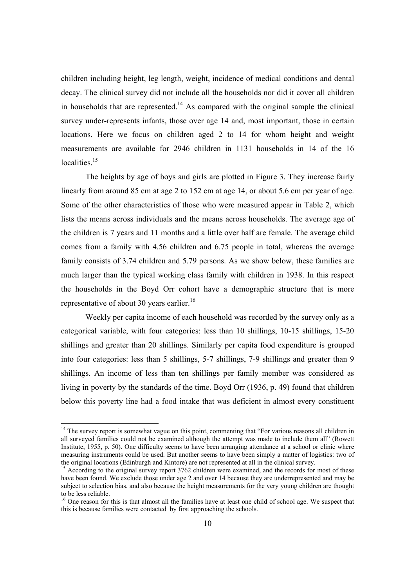children including height, leg length, weight, incidence of medical conditions and dental decay. The clinical survey did not include all the households nor did it cover all children in households that are represented.<sup>14</sup> As compared with the original sample the clinical survey under-represents infants, those over age 14 and, most important, those in certain locations. Here we focus on children aged 2 to 14 for whom height and weight measurements are available for 2946 children in 1131 households in 14 of the 16 localities $15$ 

The heights by age of boys and girls are plotted in Figure 3. They increase fairly linearly from around 85 cm at age 2 to 152 cm at age 14, or about 5.6 cm per year of age. Some of the other characteristics of those who were measured appear in Table 2, which lists the means across individuals and the means across households. The average age of the children is 7 years and 11 months and a little over half are female. The average child comes from a family with 4.56 children and 6.75 people in total, whereas the average family consists of 3.74 children and 5.79 persons. As we show below, these families are much larger than the typical working class family with children in 1938. In this respect the households in the Boyd Orr cohort have a demographic structure that is more representative of about 30 years earlier.<sup>16</sup>

Weekly per capita income of each household was recorded by the survey only as a categorical variable, with four categories: less than 10 shillings, 10-15 shillings, 15-20 shillings and greater than 20 shillings. Similarly per capita food expenditure is grouped into four categories: less than 5 shillings, 5-7 shillings, 7-9 shillings and greater than 9 shillings. An income of less than ten shillings per family member was considered as living in poverty by the standards of the time. Boyd Orr (1936, p. 49) found that children below this poverty line had a food intake that was deficient in almost every constituent

 $14$  The survey report is somewhat vague on this point, commenting that "For various reasons all children in all surveyed families could not be examined although the attempt was made to include them all" (Rowett Institute, 1955, p. 50). One difficulty seems to have been arranging attendance at a school or clinic where measuring instruments could be used. But another seems to have been simply a matter of logistics: two of the original locations (Edinburgh and Kintore) are not represented at all in the clinical survey.

<sup>&</sup>lt;sup>15</sup> According to the original survey report 3762 children were examined, and the records for most of these have been found. We exclude those under age 2 and over 14 because they are underrepresented and may be subject to selection bias, and also because the height measurements for the very young children are thought to be less reliable.

<sup>&</sup>lt;sup>16</sup> One reason for this is that almost all the families have at least one child of school age. We suspect that this is because families were contacted by first approaching the schools.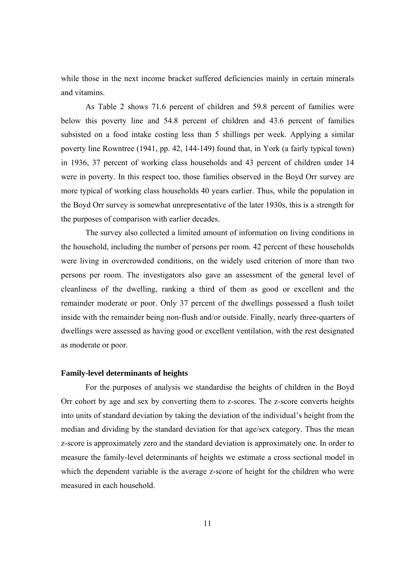while those in the next income bracket suffered deficiencies mainly in certain minerals and vitamins.

As Table 2 shows 71.6 percent of children and 59.8 percent of families were below this poverty line and 54.8 percent of children and 43.6 percent of families subsisted on a food intake costing less than 5 shillings per week. Applying a similar poverty line Rowntree (1941, pp. 42, 144-149) found that, in York (a fairly typical town) in 1936, 37 percent of working class households and 43 percent of children under 14 were in poverty. In this respect too, those families observed in the Boyd Orr survey are more typical of working class households 40 years earlier. Thus, while the population in the Boyd Orr survey is somewhat unrepresentative of the later 1930s, this is a strength for the purposes of comparison with earlier decades.

The survey also collected a limited amount of information on living conditions in the household, including the number of persons per room. 42 percent of these households were living in overcrowded conditions, on the widely used criterion of more than two persons per room. The investigators also gave an assessment of the general level of cleanliness of the dwelling, ranking a third of them as good or excellent and the remainder moderate or poor. Only 37 percent of the dwellings possessed a flush toilet inside with the remainder being non-flush and/or outside. Finally, nearly three-quarters of dwellings were assessed as having good or excellent ventilation, with the rest designated as moderate or poor.

#### **Family-level determinants of heights**

For the purposes of analysis we standardise the heights of children in the Boyd Orr cohort by age and sex by converting them to z-scores. The z-score converts heights into units of standard deviation by taking the deviation of the individual's height from the median and dividing by the standard deviation for that age/sex category. Thus the mean z-score is approximately zero and the standard deviation is approximately one. In order to measure the family-level determinants of heights we estimate a cross sectional model in which the dependent variable is the average z-score of height for the children who were measured in each household.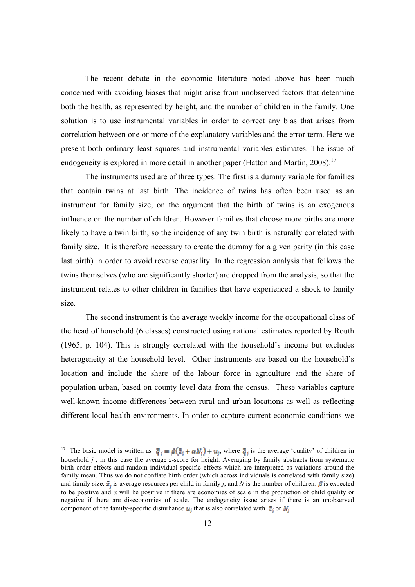The recent debate in the economic literature noted above has been much concerned with avoiding biases that might arise from unobserved factors that determine both the health, as represented by height, and the number of children in the family. One solution is to use instrumental variables in order to correct any bias that arises from correlation between one or more of the explanatory variables and the error term. Here we present both ordinary least squares and instrumental variables estimates. The issue of endogeneity is explored in more detail in another paper (Hatton and Martin, 2008).<sup>17</sup>

 The instruments used are of three types. The first is a dummy variable for families that contain twins at last birth. The incidence of twins has often been used as an instrument for family size, on the argument that the birth of twins is an exogenous influence on the number of children. However families that choose more births are more likely to have a twin birth, so the incidence of any twin birth is naturally correlated with family size. It is therefore necessary to create the dummy for a given parity (in this case last birth) in order to avoid reverse causality. In the regression analysis that follows the twins themselves (who are significantly shorter) are dropped from the analysis, so that the instrument relates to other children in families that have experienced a shock to family size.

The second instrument is the average weekly income for the occupational class of the head of household (6 classes) constructed using national estimates reported by Routh (1965, p. 104). This is strongly correlated with the household's income but excludes heterogeneity at the household level. Other instruments are based on the household's location and include the share of the labour force in agriculture and the share of population urban, based on county level data from the census. These variables capture well-known income differences between rural and urban locations as well as reflecting different local health environments. In order to capture current economic conditions we

<sup>&</sup>lt;sup>17</sup> The basic model is written as  $\overline{q}_i = \beta(\overline{z}_i + aN_i) + u_i$ , where  $\overline{q}_i$  is the average 'quality' of children in household *j* , in this case the average *z*-score for height. Averaging by family abstracts from systematic birth order effects and random individual-specific effects which are interpreted as variations around the family mean. Thus we do not conflate birth order (which across individuals is correlated with family size) and family size.  $\bar{z}_i$  is average resources per child in family *j*, and *N* is the number of children.  $\beta$  is expected to be positive and *α* will be positive if there are economies of scale in the production of child quality or negative if there are diseconomies of scale. The endogeneity issue arises if there is an unobserved component of the family-specific disturbance  $u_i$  that is also correlated with  $\bar{z}_i$  or  $N_i$ .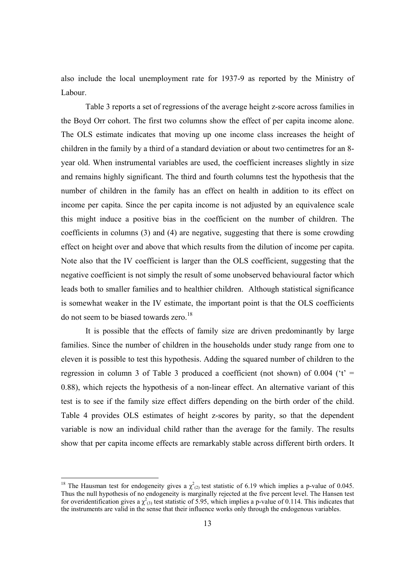also include the local unemployment rate for 1937-9 as reported by the Ministry of Labour.

 Table 3 reports a set of regressions of the average height z-score across families in the Boyd Orr cohort. The first two columns show the effect of per capita income alone. The OLS estimate indicates that moving up one income class increases the height of children in the family by a third of a standard deviation or about two centimetres for an 8 year old. When instrumental variables are used, the coefficient increases slightly in size and remains highly significant. The third and fourth columns test the hypothesis that the number of children in the family has an effect on health in addition to its effect on income per capita. Since the per capita income is not adjusted by an equivalence scale this might induce a positive bias in the coefficient on the number of children. The coefficients in columns (3) and (4) are negative, suggesting that there is some crowding effect on height over and above that which results from the dilution of income per capita. Note also that the IV coefficient is larger than the OLS coefficient, suggesting that the negative coefficient is not simply the result of some unobserved behavioural factor which leads both to smaller families and to healthier children. Although statistical significance is somewhat weaker in the IV estimate, the important point is that the OLS coefficients do not seem to be biased towards zero.<sup>18</sup>

It is possible that the effects of family size are driven predominantly by large families. Since the number of children in the households under study range from one to eleven it is possible to test this hypothesis. Adding the squared number of children to the regression in column 3 of Table 3 produced a coefficient (not shown) of  $0.004$  ('t' = 0.88), which rejects the hypothesis of a non-linear effect. An alternative variant of this test is to see if the family size effect differs depending on the birth order of the child. Table 4 provides OLS estimates of height z-scores by parity, so that the dependent variable is now an individual child rather than the average for the family. The results show that per capita income effects are remarkably stable across different birth orders. It

<sup>&</sup>lt;sup>18</sup> The Hausman test for endogeneity gives a  $\chi^2_{(2)}$  test statistic of 6.19 which implies a p-value of 0.045. Thus the null hypothesis of no endogeneity is marginally rejected at the five percent level. The Hansen test for overidentification gives a  $\chi^2_{(3)}$  test statistic of 5.95, which implies a p-value of 0.114. This indicates that the instruments are valid in the sense that their influence works only through the endogenous variables.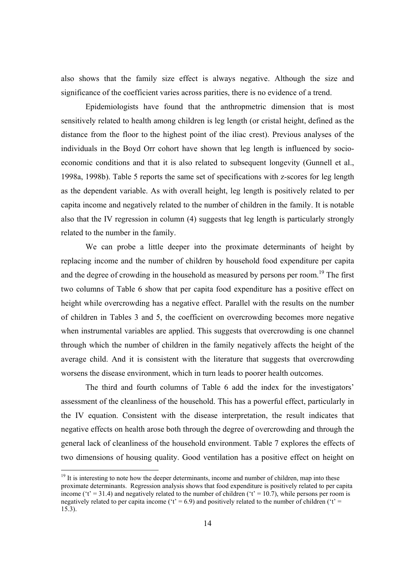also shows that the family size effect is always negative. Although the size and significance of the coefficient varies across parities, there is no evidence of a trend.

Epidemiologists have found that the anthropmetric dimension that is most sensitively related to health among children is leg length (or cristal height, defined as the distance from the floor to the highest point of the iliac crest). Previous analyses of the individuals in the Boyd Orr cohort have shown that leg length is influenced by socioeconomic conditions and that it is also related to subsequent longevity (Gunnell et al., 1998a, 1998b). Table 5 reports the same set of specifications with z-scores for leg length as the dependent variable. As with overall height, leg length is positively related to per capita income and negatively related to the number of children in the family. It is notable also that the IV regression in column (4) suggests that leg length is particularly strongly related to the number in the family.

We can probe a little deeper into the proximate determinants of height by replacing income and the number of children by household food expenditure per capita and the degree of crowding in the household as measured by persons per room.<sup>19</sup> The first two columns of Table 6 show that per capita food expenditure has a positive effect on height while overcrowding has a negative effect. Parallel with the results on the number of children in Tables 3 and 5, the coefficient on overcrowding becomes more negative when instrumental variables are applied. This suggests that overcrowding is one channel through which the number of children in the family negatively affects the height of the average child. And it is consistent with the literature that suggests that overcrowding worsens the disease environment, which in turn leads to poorer health outcomes.

The third and fourth columns of Table 6 add the index for the investigators' assessment of the cleanliness of the household. This has a powerful effect, particularly in the IV equation. Consistent with the disease interpretation, the result indicates that negative effects on health arose both through the degree of overcrowding and through the general lack of cleanliness of the household environment. Table 7 explores the effects of two dimensions of housing quality. Good ventilation has a positive effect on height on

 $19$  It is interesting to note how the deeper determinants, income and number of children, map into these proximate determinants. Regression analysis shows that food expenditure is positively related to per capita income ( $t' = 31.4$ ) and negatively related to the number of children ( $t' = 10.7$ ), while persons per room is negatively related to per capita income ('t' = 6.9) and positively related to the number of children ('t' =  $15.3$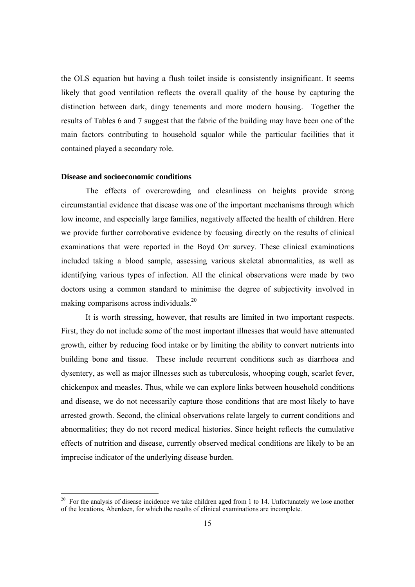the OLS equation but having a flush toilet inside is consistently insignificant. It seems likely that good ventilation reflects the overall quality of the house by capturing the distinction between dark, dingy tenements and more modern housing. Together the results of Tables 6 and 7 suggest that the fabric of the building may have been one of the main factors contributing to household squalor while the particular facilities that it contained played a secondary role.

#### **Disease and socioeconomic conditions**

The effects of overcrowding and cleanliness on heights provide strong circumstantial evidence that disease was one of the important mechanisms through which low income, and especially large families, negatively affected the health of children. Here we provide further corroborative evidence by focusing directly on the results of clinical examinations that were reported in the Boyd Orr survey. These clinical examinations included taking a blood sample, assessing various skeletal abnormalities, as well as identifying various types of infection. All the clinical observations were made by two doctors using a common standard to minimise the degree of subjectivity involved in making comparisons across individuals.20

It is worth stressing, however, that results are limited in two important respects. First, they do not include some of the most important illnesses that would have attenuated growth, either by reducing food intake or by limiting the ability to convert nutrients into building bone and tissue. These include recurrent conditions such as diarrhoea and dysentery, as well as major illnesses such as tuberculosis, whooping cough, scarlet fever, chickenpox and measles. Thus, while we can explore links between household conditions and disease, we do not necessarily capture those conditions that are most likely to have arrested growth. Second, the clinical observations relate largely to current conditions and abnormalities; they do not record medical histories. Since height reflects the cumulative effects of nutrition and disease, currently observed medical conditions are likely to be an imprecise indicator of the underlying disease burden.

 $20$  For the analysis of disease incidence we take children aged from 1 to 14. Unfortunately we lose another of the locations, Aberdeen, for which the results of clinical examinations are incomplete.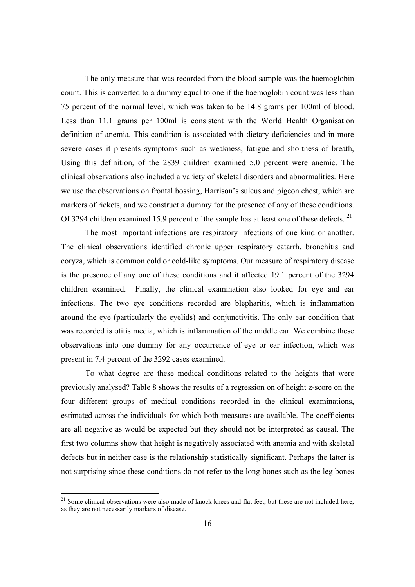The only measure that was recorded from the blood sample was the haemoglobin count. This is converted to a dummy equal to one if the haemoglobin count was less than 75 percent of the normal level, which was taken to be 14.8 grams per 100ml of blood. Less than 11.1 grams per 100ml is consistent with the World Health Organisation definition of anemia. This condition is associated with dietary deficiencies and in more severe cases it presents symptoms such as weakness, fatigue and shortness of breath, Using this definition, of the 2839 children examined 5.0 percent were anemic. The clinical observations also included a variety of skeletal disorders and abnormalities. Here we use the observations on frontal bossing, Harrison's sulcus and pigeon chest, which are markers of rickets, and we construct a dummy for the presence of any of these conditions. Of 3294 children examined 15.9 percent of the sample has at least one of these defects.<sup>21</sup>

The most important infections are respiratory infections of one kind or another. The clinical observations identified chronic upper respiratory catarrh, bronchitis and coryza, which is common cold or cold-like symptoms. Our measure of respiratory disease is the presence of any one of these conditions and it affected 19.1 percent of the 3294 children examined. Finally, the clinical examination also looked for eye and ear infections. The two eye conditions recorded are blepharitis, which is inflammation around the eye (particularly the eyelids) and conjunctivitis. The only ear condition that was recorded is otitis media, which is inflammation of the middle ear. We combine these observations into one dummy for any occurrence of eye or ear infection, which was present in 7.4 percent of the 3292 cases examined.

To what degree are these medical conditions related to the heights that were previously analysed? Table 8 shows the results of a regression on of height z-score on the four different groups of medical conditions recorded in the clinical examinations, estimated across the individuals for which both measures are available. The coefficients are all negative as would be expected but they should not be interpreted as causal. The first two columns show that height is negatively associated with anemia and with skeletal defects but in neither case is the relationship statistically significant. Perhaps the latter is not surprising since these conditions do not refer to the long bones such as the leg bones

<sup>&</sup>lt;sup>21</sup> Some clinical observations were also made of knock knees and flat feet, but these are not included here, as they are not necessarily markers of disease.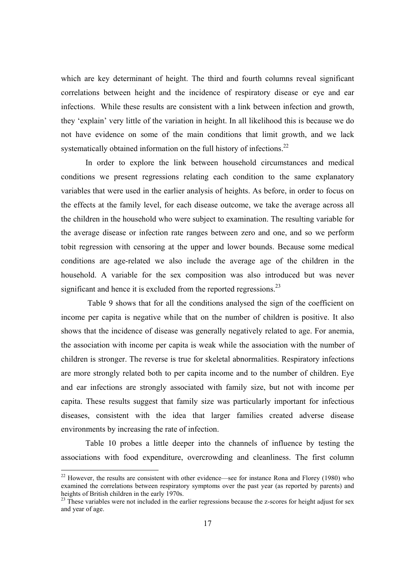which are key determinant of height. The third and fourth columns reveal significant correlations between height and the incidence of respiratory disease or eye and ear infections. While these results are consistent with a link between infection and growth, they 'explain' very little of the variation in height. In all likelihood this is because we do not have evidence on some of the main conditions that limit growth, and we lack systematically obtained information on the full history of infections.<sup>22</sup>

In order to explore the link between household circumstances and medical conditions we present regressions relating each condition to the same explanatory variables that were used in the earlier analysis of heights. As before, in order to focus on the effects at the family level, for each disease outcome, we take the average across all the children in the household who were subject to examination. The resulting variable for the average disease or infection rate ranges between zero and one, and so we perform tobit regression with censoring at the upper and lower bounds. Because some medical conditions are age-related we also include the average age of the children in the household. A variable for the sex composition was also introduced but was never significant and hence it is excluded from the reported regressions.<sup>23</sup>

 Table 9 shows that for all the conditions analysed the sign of the coefficient on income per capita is negative while that on the number of children is positive. It also shows that the incidence of disease was generally negatively related to age. For anemia, the association with income per capita is weak while the association with the number of children is stronger. The reverse is true for skeletal abnormalities. Respiratory infections are more strongly related both to per capita income and to the number of children. Eye and ear infections are strongly associated with family size, but not with income per capita. These results suggest that family size was particularly important for infectious diseases, consistent with the idea that larger families created adverse disease environments by increasing the rate of infection.

Table 10 probes a little deeper into the channels of influence by testing the associations with food expenditure, overcrowding and cleanliness. The first column

 $22$  However, the results are consistent with other evidence—see for instance Rona and Florey (1980) who examined the correlations between respiratory symptoms over the past year (as reported by parents) and heights of British children in the early 1970s.

<sup>&</sup>lt;sup>23</sup> These variables were not included in the earlier regressions because the z-scores for height adjust for sex and year of age.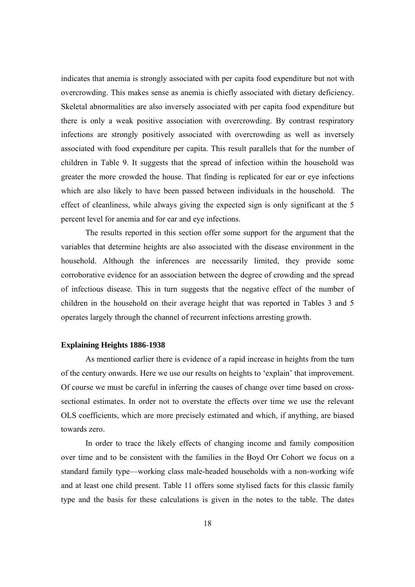indicates that anemia is strongly associated with per capita food expenditure but not with overcrowding. This makes sense as anemia is chiefly associated with dietary deficiency. Skeletal abnormalities are also inversely associated with per capita food expenditure but there is only a weak positive association with overcrowding. By contrast respiratory infections are strongly positively associated with overcrowding as well as inversely associated with food expenditure per capita. This result parallels that for the number of children in Table 9. It suggests that the spread of infection within the household was greater the more crowded the house. That finding is replicated for ear or eye infections which are also likely to have been passed between individuals in the household. The effect of cleanliness, while always giving the expected sign is only significant at the 5 percent level for anemia and for ear and eye infections.

The results reported in this section offer some support for the argument that the variables that determine heights are also associated with the disease environment in the household. Although the inferences are necessarily limited, they provide some corroborative evidence for an association between the degree of crowding and the spread of infectious disease. This in turn suggests that the negative effect of the number of children in the household on their average height that was reported in Tables 3 and 5 operates largely through the channel of recurrent infections arresting growth.

#### **Explaining Heights 1886-1938**

 As mentioned earlier there is evidence of a rapid increase in heights from the turn of the century onwards. Here we use our results on heights to 'explain' that improvement. Of course we must be careful in inferring the causes of change over time based on crosssectional estimates. In order not to overstate the effects over time we use the relevant OLS coefficients, which are more precisely estimated and which, if anything, are biased towards zero.

 In order to trace the likely effects of changing income and family composition over time and to be consistent with the families in the Boyd Orr Cohort we focus on a standard family type—working class male-headed households with a non-working wife and at least one child present. Table 11 offers some stylised facts for this classic family type and the basis for these calculations is given in the notes to the table. The dates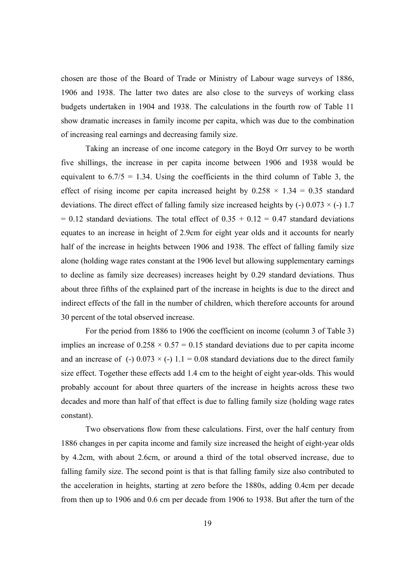chosen are those of the Board of Trade or Ministry of Labour wage surveys of 1886, 1906 and 1938. The latter two dates are also close to the surveys of working class budgets undertaken in 1904 and 1938. The calculations in the fourth row of Table 11 show dramatic increases in family income per capita, which was due to the combination of increasing real earnings and decreasing family size.

Taking an increase of one income category in the Boyd Orr survey to be worth five shillings, the increase in per capita income between 1906 and 1938 would be equivalent to  $6.7/5 = 1.34$ . Using the coefficients in the third column of Table 3, the effect of rising income per capita increased height by  $0.258 \times 1.34 = 0.35$  standard deviations. The direct effect of falling family size increased heights by  $(-)$  0.073  $\times$  (-) 1.7  $= 0.12$  standard deviations. The total effect of  $0.35 + 0.12 = 0.47$  standard deviations equates to an increase in height of 2.9cm for eight year olds and it accounts for nearly half of the increase in heights between 1906 and 1938. The effect of falling family size alone (holding wage rates constant at the 1906 level but allowing supplementary earnings to decline as family size decreases) increases height by 0.29 standard deviations. Thus about three fifths of the explained part of the increase in heights is due to the direct and indirect effects of the fall in the number of children, which therefore accounts for around 30 percent of the total observed increase.

For the period from 1886 to 1906 the coefficient on income (column 3 of Table 3) implies an increase of  $0.258 \times 0.57 = 0.15$  standard deviations due to per capita income and an increase of (-)  $0.073 \times$  (-)  $1.1 = 0.08$  standard deviations due to the direct family size effect. Together these effects add 1.4 cm to the height of eight year-olds. This would probably account for about three quarters of the increase in heights across these two decades and more than half of that effect is due to falling family size (holding wage rates constant).

Two observations flow from these calculations. First, over the half century from 1886 changes in per capita income and family size increased the height of eight-year olds by 4.2cm, with about 2.6cm, or around a third of the total observed increase, due to falling family size. The second point is that is that falling family size also contributed to the acceleration in heights, starting at zero before the 1880s, adding 0.4cm per decade from then up to 1906 and 0.6 cm per decade from 1906 to 1938. But after the turn of the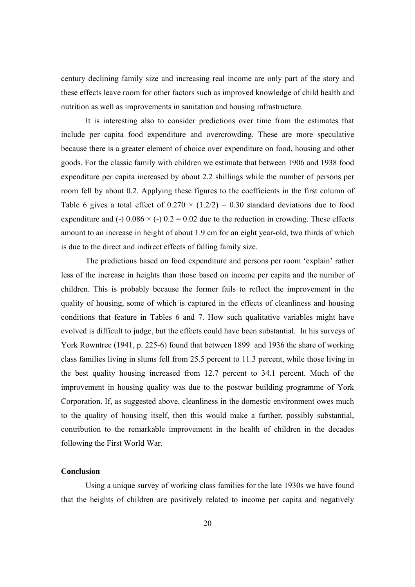century declining family size and increasing real income are only part of the story and these effects leave room for other factors such as improved knowledge of child health and nutrition as well as improvements in sanitation and housing infrastructure.

It is interesting also to consider predictions over time from the estimates that include per capita food expenditure and overcrowding. These are more speculative because there is a greater element of choice over expenditure on food, housing and other goods. For the classic family with children we estimate that between 1906 and 1938 food expenditure per capita increased by about 2.2 shillings while the number of persons per room fell by about 0.2. Applying these figures to the coefficients in the first column of Table 6 gives a total effect of  $0.270 \times (1.2/2) = 0.30$  standard deviations due to food expenditure and (-)  $0.086 \times$  (-)  $0.2 = 0.02$  due to the reduction in crowding. These effects amount to an increase in height of about 1.9 cm for an eight year-old, two thirds of which is due to the direct and indirect effects of falling family size.

The predictions based on food expenditure and persons per room 'explain' rather less of the increase in heights than those based on income per capita and the number of children. This is probably because the former fails to reflect the improvement in the quality of housing, some of which is captured in the effects of cleanliness and housing conditions that feature in Tables 6 and 7. How such qualitative variables might have evolved is difficult to judge, but the effects could have been substantial. In his surveys of York Rowntree (1941, p. 225-6) found that between 1899 and 1936 the share of working class families living in slums fell from 25.5 percent to 11.3 percent, while those living in the best quality housing increased from 12.7 percent to 34.1 percent. Much of the improvement in housing quality was due to the postwar building programme of York Corporation. If, as suggested above, cleanliness in the domestic environment owes much to the quality of housing itself, then this would make a further, possibly substantial, contribution to the remarkable improvement in the health of children in the decades following the First World War.

#### **Conclusion**

Using a unique survey of working class families for the late 1930s we have found that the heights of children are positively related to income per capita and negatively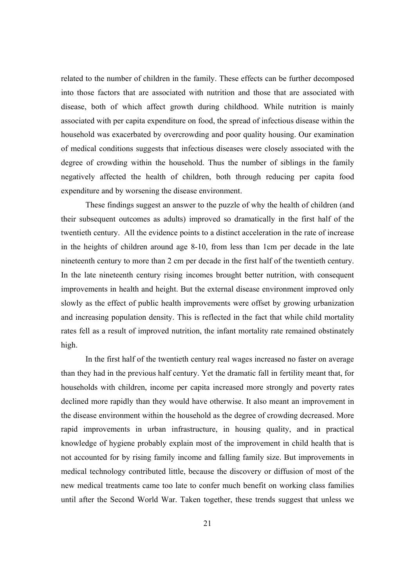related to the number of children in the family. These effects can be further decomposed into those factors that are associated with nutrition and those that are associated with disease, both of which affect growth during childhood. While nutrition is mainly associated with per capita expenditure on food, the spread of infectious disease within the household was exacerbated by overcrowding and poor quality housing. Our examination of medical conditions suggests that infectious diseases were closely associated with the degree of crowding within the household. Thus the number of siblings in the family negatively affected the health of children, both through reducing per capita food expenditure and by worsening the disease environment.

These findings suggest an answer to the puzzle of why the health of children (and their subsequent outcomes as adults) improved so dramatically in the first half of the twentieth century. All the evidence points to a distinct acceleration in the rate of increase in the heights of children around age 8-10, from less than 1cm per decade in the late nineteenth century to more than 2 cm per decade in the first half of the twentieth century. In the late nineteenth century rising incomes brought better nutrition, with consequent improvements in health and height. But the external disease environment improved only slowly as the effect of public health improvements were offset by growing urbanization and increasing population density. This is reflected in the fact that while child mortality rates fell as a result of improved nutrition, the infant mortality rate remained obstinately high.

In the first half of the twentieth century real wages increased no faster on average than they had in the previous half century. Yet the dramatic fall in fertility meant that, for households with children, income per capita increased more strongly and poverty rates declined more rapidly than they would have otherwise. It also meant an improvement in the disease environment within the household as the degree of crowding decreased. More rapid improvements in urban infrastructure, in housing quality, and in practical knowledge of hygiene probably explain most of the improvement in child health that is not accounted for by rising family income and falling family size. But improvements in medical technology contributed little, because the discovery or diffusion of most of the new medical treatments came too late to confer much benefit on working class families until after the Second World War. Taken together, these trends suggest that unless we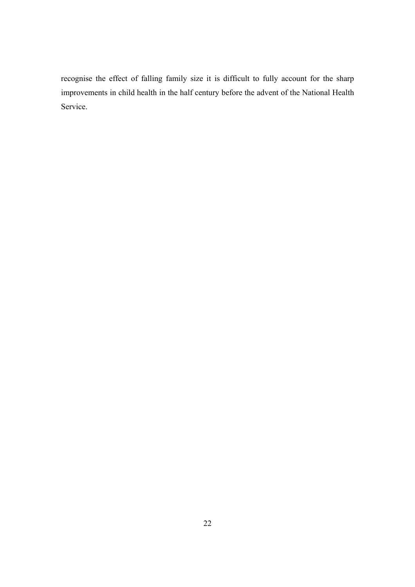recognise the effect of falling family size it is difficult to fully account for the sharp improvements in child health in the half century before the advent of the National Health Service.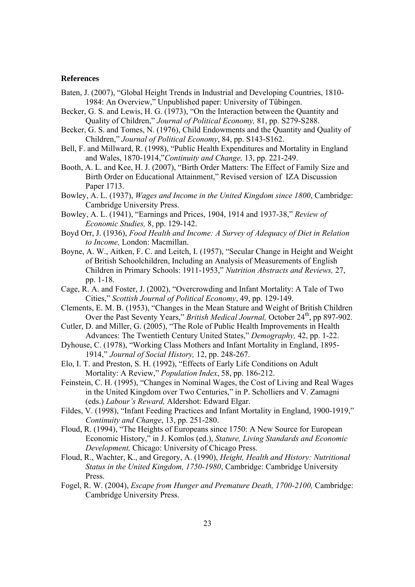#### **References**

- Baten, J. (2007), "Global Height Trends in Industrial and Developing Countries, 1810- 1984: An Overview," Unpublished paper: University of Tübingen.
- Becker, G. S. and Lewis, H. G. (1973), "On the Interaction between the Quantity and Quality of Children," *Journal of Political Economy,* 81, pp. S279-S288.
- Becker, G. S. and Tomes, N. (1976), Child Endowments and the Quantity and Quality of Children," *Journal of Political Economy*, 84, pp. S143-S162.
- Bell, F. and Millward, R. (1998), "Public Health Expenditures and Mortality in England and Wales, 1870-1914,"*Continuity and Change,* 13, pp. 221-249.
- Booth, A. L. and Kee, H. J. (2007), "Birth Order Matters: The Effect of Family Size and Birth Order on Educational Attainment," Revised version of IZA Discussion Paper 1713.
- Bowley, A. L. (1937), *Wages and Income in the United Kingdom since 1800*, Cambridge: Cambridge University Press.
- Bowley, A. L. (1941), "Earnings and Prices, 1904, 1914 and 1937-38," *Review of Economic Studies,* 8, pp. 129-142.
- Boyd Orr, J. (1936), *Food Health and Income: A Survey of Adequacy of Diet in Relation to Income,* London: Macmillan.
- Boyne, A. W., Aitken, F. C. and Leitch, I. (1957), "Secular Change in Height and Weight of British Schoolchildren, Including an Analysis of Measurements of English Children in Primary Schools: 1911-1953," *Nutrition Abstracts and Reviews,* 27, pp. 1-18.
- Cage, R. A. and Foster, J. (2002), "Overcrowding and Infant Mortality: A Tale of Two Cities," *Scottish Journal of Political Economy*, 49, pp. 129-149.
- Clements, E. M. B. (1953), "Changes in the Mean Stature and Weight of British Children Over the Past Seventy Years," *British Medical Journal*, October 24<sup>th</sup>, pp 897-902.
- Cutler, D. and Miller, G. (2005), "The Role of Public Health Improvements in Health Advances: The Twentieth Century United States," *Demography,* 42, pp. 1-22.
- Dyhouse, C. (1978), "Working Class Mothers and Infant Mortality in England, 1895- 1914," *Journal of Social History,* 12, pp. 248-267.
- Elo, I. T. and Preston, S. H. (1992), "Effects of Early Life Conditions on Adult Mortality: A Review," *Population Index*, 58, pp. 186-212.
- Feinstein, C. H. (1995), "Changes in Nominal Wages, the Cost of Living and Real Wages in the United Kingdom over Two Centuries," in P. Scholliers and V. Zamagni (eds.) *Labour's Reward,* Aldershot: Edward Elgar.
- Fildes, V. (1998), "Infant Feeding Practices and Infant Mortality in England, 1900-1919," *Continuity and Change*, 13, pp. 251-280.
- Floud, R. (1994), "The Heights of Europeans since 1750: A New Source for European Economic History," in J. Komlos (ed.), *Stature, Living Standards and Economic Development,* Chicago: University of Chicago Press.
- Floud, R., Wachter, K., and Gregory, A. (1990), *Height, Health and History: Nutritional Status in the United Kingdom, 1750-1980*, Cambridge: Cambridge University Press.
- Fogel, R. W. (2004), *Escape from Hunger and Premature Death, 1700-2100,* Cambridge: Cambridge University Press.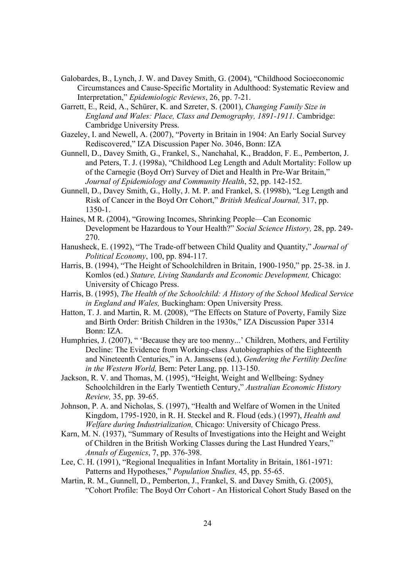- Galobardes, B., Lynch, J. W. and Davey Smith, G. (2004), "Childhood Socioeconomic Circumstances and Cause-Specific Mortality in Adulthood: Systematic Review and Interpretation," *Epidemiologic Reviews*, 26, pp. 7-21.
- Garrett, E., Reid, A., Schürer, K. and Szreter, S. (2001), *Changing Family Size in England and Wales: Place, Class and Demography, 1891-1911.* Cambridge: Cambridge University Press.
- Gazeley, I. and Newell, A. (2007), "Poverty in Britain in 1904: An Early Social Survey Rediscovered," IZA Discussion Paper No. 3046, Bonn: IZA
- Gunnell, D., Davey Smith, G., Frankel, S., Nanchahal, K., Braddon, F. E., Pemberton, J. and Peters, T. J. (1998a), "Childhood Leg Length and Adult Mortality: Follow up of the Carnegie (Boyd Orr) Survey of Diet and Health in Pre-War Britain," *Journal of Epidemiology and Community Health*, 52, pp. 142-152.
- Gunnell, D., Davey Smith, G., Holly, J. M. P. and Frankel, S. (1998b), "Leg Length and Risk of Cancer in the Boyd Orr Cohort," *British Medical Journal,* 317, pp. 1350-1.
- Haines, M R. (2004), "Growing Incomes, Shrinking People—Can Economic Development be Hazardous to Your Health?" *Social Science History,* 28, pp. 249- 270.
- Hanusheck, E. (1992), "The Trade-off between Child Quality and Quantity," *Journal of Political Economy*, 100, pp. 894-117.
- Harris, B. (1994), "The Height of Schoolchildren in Britain, 1900-1950," pp. 25-38. in J. Komlos (ed.) *Stature, Living Standards and Economic Development,* Chicago: University of Chicago Press.
- Harris, B. (1995), *The Health of the Schoolchild: A History of the School Medical Service in England and Wales,* Buckingham: Open University Press.
- Hatton, T. J. and Martin, R. M. (2008), "The Effects on Stature of Poverty, Family Size and Birth Order: British Children in the 1930s," IZA Discussion Paper 3314 Bonn: IZA.
- Humphries, J. (2007), " 'Because they are too menny...' Children, Mothers, and Fertility Decline: The Evidence from Working-class Autobiographies of the Eighteenth and Nineteenth Centuries," in A. Janssens (ed.), *Gendering the Fertility Decline in the Western World,* Bern: Peter Lang, pp. 113-150.
- Jackson, R. V. and Thomas, M. (1995), "Height, Weight and Wellbeing: Sydney Schoolchildren in the Early Twentieth Century," *Australian Economic History Review,* 35, pp. 39-65.
- Johnson, P. A. and Nicholas, S. (1997), "Health and Welfare of Women in the United Kingdom, 1795-1920, in R. H. Steckel and R. Floud (eds.) (1997), *Health and Welfare during Industrialization,* Chicago: University of Chicago Press.
- Karn, M. N. (1937), "Summary of Results of Investigations into the Height and Weight of Children in the British Working Classes during the Last Hundred Years," *Annals of Eugenics*, 7, pp. 376-398.
- Lee, C. H. (1991), "Regional Inequalities in Infant Mortality in Britain, 1861-1971: Patterns and Hypotheses," *Population Studies,* 45, pp. 55-65.
- Martin, R. M., Gunnell, D., Pemberton, J., Frankel, S. and Davey Smith, G. (2005), "Cohort Profile: The Boyd Orr Cohort - An Historical Cohort Study Based on the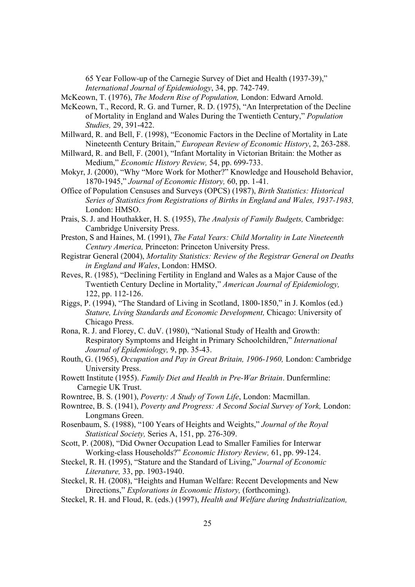65 Year Follow-up of the Carnegie Survey of Diet and Health (1937-39)," *International Journal of Epidemiology*, 34, pp. 742-749.

McKeown, T. (1976), *The Modern Rise of Population,* London: Edward Arnold.

- McKeown, T., Record, R. G. and Turner, R. D. (1975), "An Interpretation of the Decline of Mortality in England and Wales During the Twentieth Century," *Population Studies,* 29, 391-422.
- Millward, R. and Bell, F. (1998), "Economic Factors in the Decline of Mortality in Late Nineteenth Century Britain," *European Review of Economic History*, 2, 263-288.
- Millward, R. and Bell, F. (2001), "Infant Mortality in Victorian Britain: the Mother as Medium," *Economic History Review,* 54, pp. 699-733.
- Mokyr, J. (2000), "Why "More Work for Mother?" Knowledge and Household Behavior, 1870-1945," *Journal of Economic History,* 60, pp. 1-41.
- Office of Population Censuses and Surveys (OPCS) (1987), *Birth Statistics: Historical Series of Statistics from Registrations of Births in England and Wales, 1937-1983,* London: HMSO.
- Prais, S. J. and Houthakker, H. S. (1955), *The Analysis of Family Budgets,* Cambridge: Cambridge University Press.
- Preston, S and Haines, M. (1991), *The Fatal Years: Child Mortality in Late Nineteenth Century America,* Princeton: Princeton University Press.

Registrar General (2004), *Mortality Statistics: Review of the Registrar General on Deaths in England and Wales*, London: HMSO.

- Reves, R. (1985), "Declining Fertility in England and Wales as a Major Cause of the Twentieth Century Decline in Mortality," *American Journal of Epidemiology,*  122, pp. 112-126.
- Riggs, P. (1994), "The Standard of Living in Scotland, 1800-1850," in J. Komlos (ed.) *Stature, Living Standards and Economic Development,* Chicago: University of Chicago Press.
- Rona, R. J. and Florey, C. duV. (1980), "National Study of Health and Growth: Respiratory Symptoms and Height in Primary Schoolchildren," *International Journal of Epidemiology,* 9, pp. 35-43.
- Routh, G. (1965), *Occupation and Pay in Great Britain, 1906-1960,* London: Cambridge University Press.
- Rowett Institute (1955). *Family Diet and Health in Pre-War Britain*. Dunfermline: Carnegie UK Trust.
- Rowntree, B. S. (1901), *Poverty: A Study of Town Life*, London: Macmillan.
- Rowntree, B. S. (1941), *Poverty and Progress: A Second Social Survey of York,* London: Longmans Green.
- Rosenbaum, S. (1988), "100 Years of Heights and Weights," *Journal of the Royal Statistical Society,* Series A, 151, pp. 276-309.
- Scott, P. (2008), "Did Owner Occupation Lead to Smaller Families for Interwar Working-class Households?" *Economic History Review,* 61, pp. 99-124.
- Steckel, R. H. (1995), "Stature and the Standard of Living," *Journal of Economic Literature,* 33, pp. 1903-1940.
- Steckel, R. H. (2008), "Heights and Human Welfare: Recent Developments and New Directions," *Explorations in Economic History,* (forthcoming).
- Steckel, R. H. and Floud, R. (eds.) (1997), *Health and Welfare during Industrialization,*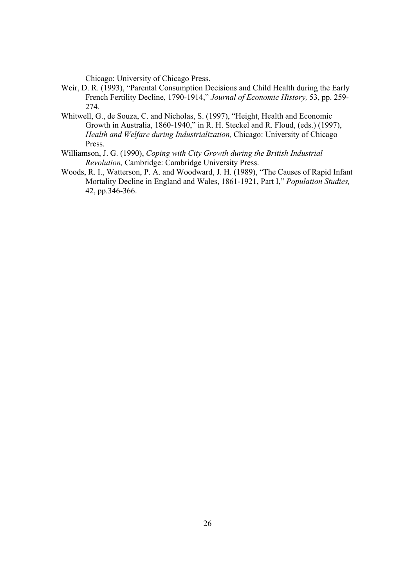Chicago: University of Chicago Press.

- Weir, D. R. (1993), "Parental Consumption Decisions and Child Health during the Early French Fertility Decline, 1790-1914," *Journal of Economic History,* 53, pp. 259- 274.
- Whitwell, G., de Souza, C. and Nicholas, S. (1997), "Height, Health and Economic Growth in Australia, 1860-1940," in R. H. Steckel and R. Floud, (eds.) (1997), *Health and Welfare during Industrialization,* Chicago: University of Chicago Press.
- Williamson, J. G. (1990), *Coping with City Growth during the British Industrial Revolution,* Cambridge: Cambridge University Press.
- Woods, R. I., Watterson, P. A. and Woodward, J. H. (1989), "The Causes of Rapid Infant Mortality Decline in England and Wales, 1861-1921, Part I," *Population Studies,* 42, pp.346-366.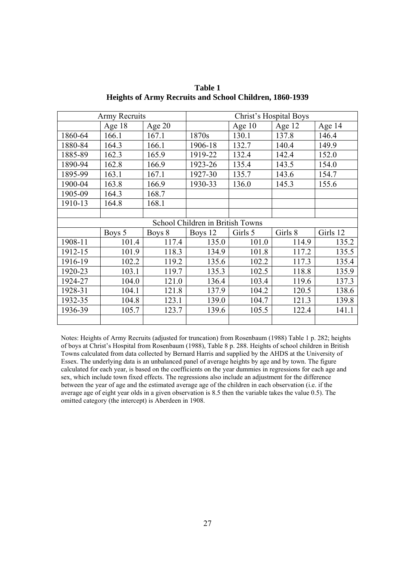|         | Army Recruits |          | Christ's Hospital Boys           |         |         |          |
|---------|---------------|----------|----------------------------------|---------|---------|----------|
|         | Age 18        | Age $20$ |                                  | Age 10  | Age 12  | Age $14$ |
| 1860-64 | 166.1         | 167.1    | 1870s                            | 130.1   | 137.8   | 146.4    |
| 1880-84 | 164.3         | 166.1    | 1906-18                          | 132.7   | 140.4   | 149.9    |
| 1885-89 | 162.3         | 165.9    | 1919-22                          | 132.4   | 142.4   | 152.0    |
| 1890-94 | 162.8         | 166.9    | 1923-26                          | 135.4   | 143.5   | 154.0    |
| 1895-99 | 163.1         | 167.1    | 1927-30                          | 135.7   | 143.6   | 154.7    |
| 1900-04 | 163.8         | 166.9    | 1930-33                          | 136.0   | 145.3   | 155.6    |
| 1905-09 | 164.3         | 168.7    |                                  |         |         |          |
| 1910-13 | 164.8         | 168.1    |                                  |         |         |          |
|         |               |          |                                  |         |         |          |
|         |               |          | School Children in British Towns |         |         |          |
|         | Boys 5        | Boys 8   | Boys 12                          | Girls 5 | Girls 8 | Girls 12 |
| 1908-11 | 101.4         | 117.4    | 135.0                            | 101.0   | 114.9   | 135.2    |
| 1912-15 | 101.9         | 118.3    | 134.9                            | 101.8   | 117.2   | 135.5    |
| 1916-19 | 102.2         | 119.2    | 135.6                            | 102.2   | 117.3   | 135.4    |
| 1920-23 | 103.1         | 119.7    | 135.3                            | 102.5   | 118.8   | 135.9    |
| 1924-27 | 104.0         | 121.0    | 136.4                            | 103.4   | 119.6   | 137.3    |
| 1928-31 | 104.1         | 121.8    | 137.9                            | 104.2   | 120.5   | 138.6    |
|         | 104.8         | 123.1    | 139.0                            | 104.7   | 121.3   | 139.8    |
| 1932-35 |               |          |                                  |         |         |          |
| 1936-39 | 105.7         | 123.7    | 139.6                            | 105.5   | 122.4   | 141.1    |

**Table 1 Heights of Army Recruits and School Children, 1860-1939** 

Notes: Heights of Army Recruits (adjusted for truncation) from Rosenbaum (1988) Table 1 p. 282; heights of boys at Christ's Hospital from Rosenbaum (1988), Table 8 p. 288. Heights of school children in British Towns calculated from data collected by Bernard Harris and supplied by the AHDS at the University of Essex. The underlying data is an unbalanced panel of average heights by age and by town. The figure calculated for each year, is based on the coefficients on the year dummies in regressions for each age and sex, which include town fixed effects. The regressions also include an adjustment for the difference between the year of age and the estimated average age of the children in each observation (i.e. if the average age of eight year olds in a given observation is 8.5 then the variable takes the value 0.5). The omitted category (the intercept) is Aberdeen in 1908.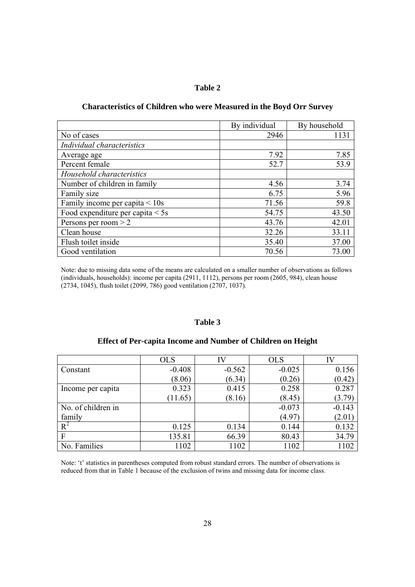| Ш |  |
|---|--|
|---|--|

### **Characteristics of Children who were Measured in the Boyd Orr Survey**

|                                       | By individual | By household |
|---------------------------------------|---------------|--------------|
| No of cases                           | 2946          | 1131         |
| Individual characteristics            |               |              |
| Average age                           | 7.92          | 7.85         |
| Percent female                        | 52.7          | 53.9         |
| Household characteristics             |               |              |
| Number of children in family          | 4.56          | 3.74         |
| Family size                           | 6.75          | 5.96         |
| Family income per capita $\leq 10s$   | 71.56         | 59.8         |
| Food expenditure per capita $\leq 5s$ | 54.75         | 43.50        |
| Persons per room $> 2$                | 43.76         | 42.01        |
| Clean house                           | 32.26         | 33.11        |
| Flush toilet inside                   | 35.40         | 37.00        |
| Good ventilation                      | 70.56         | 73.00        |

Note: due to missing data some of the means are calculated on a smaller number of observations as follows (individuals, households): income per capita (2911, 1112), persons per room (2605, 984), clean house (2734, 1045), flush toilet (2099, 786) good ventilation (2707, 1037).

### **Table 3**

### **Effect of Per-capita Income and Number of Children on Height**

|                    | <b>OLS</b> | IV       | <b>OLS</b> | IV       |
|--------------------|------------|----------|------------|----------|
| Constant           | $-0.408$   | $-0.562$ | $-0.025$   | 0.156    |
|                    | (8.06)     | (6.34)   | (0.26)     | (0.42)   |
| Income per capita  | 0.323      | 0.415    | 0.258      | 0.287    |
|                    | (11.65)    | (8.16)   | (8.45)     | (3.79)   |
| No. of children in |            |          | $-0.073$   | $-0.143$ |
| family             |            |          | (4.97)     | (2.01)   |
| $R^2$              | 0.125      | 0.134    | 0.144      | 0.132    |
| $\mathbf{F}$       | 135.81     | 66.39    | 80.43      | 34.79    |
| No. Families       | 1102       | 1102     | 1102       | 1102     |

Note: 't' statistics in parentheses computed from robust standard errors. The number of observations is reduced from that in Table 1 because of the exclusion of twins and missing data for income class.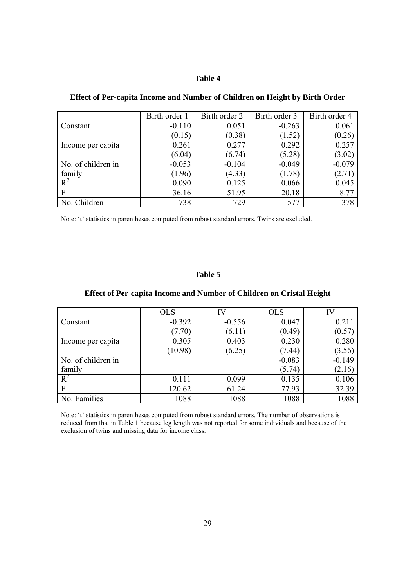|                    | Birth order 1 | Birth order 2 | Birth order 3 | Birth order 4 |
|--------------------|---------------|---------------|---------------|---------------|
| Constant           | $-0.110$      | 0.051         | $-0.263$      | 0.061         |
|                    | (0.15)        | (0.38)        | (1.52)        | (0.26)        |
| Income per capita  | 0.261         | 0.277         | 0.292         | 0.257         |
|                    | (6.04)        | (6.74)        | (5.28)        | (3.02)        |
| No. of children in | $-0.053$      | $-0.104$      | $-0.049$      | $-0.079$      |
| family             | (1.96)        | (4.33)        | (1.78)        | (2.71)        |
| $R^2$              | 0.090         | 0.125         | 0.066         | 0.045         |
| F                  | 36.16         | 51.95         | 20.18         | 8.77          |
| No. Children       | 738           | 729           | 577           | 378           |

Note: 't' statistics in parentheses computed from robust standard errors. Twins are excluded.

### **Table 5**

### **Effect of Per-capita Income and Number of Children on Cristal Height**

|                    | <b>OLS</b> | IV       | <b>OLS</b> | IV       |
|--------------------|------------|----------|------------|----------|
| Constant           | $-0.392$   | $-0.556$ | 0.047      | 0.211    |
|                    | (7.70)     | (6.11)   | (0.49)     | (0.57)   |
| Income per capita  | 0.305      | 0.403    | 0.230      | 0.280    |
|                    | (10.98)    | (6.25)   | (7.44)     | (3.56)   |
| No. of children in |            |          | $-0.083$   | $-0.149$ |
| family             |            |          | (5.74)     | (2.16)   |
| $R^2$              | 0.111      | 0.099    | 0.135      | 0.106    |
| F                  | 120.62     | 61.24    | 77.93      | 32.39    |
| No. Families       | 1088       | 1088     | 1088       | 1088     |

Note: 't' statistics in parentheses computed from robust standard errors. The number of observations is reduced from that in Table 1 because leg length was not reported for some individuals and because of the exclusion of twins and missing data for income class.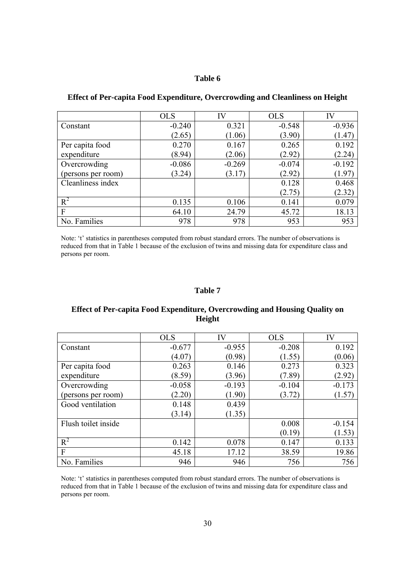|                    | <b>OLS</b> | IV       | <b>OLS</b> | IV       |
|--------------------|------------|----------|------------|----------|
| Constant           | $-0.240$   | 0.321    | $-0.548$   | $-0.936$ |
|                    | (2.65)     | (1.06)   | (3.90)     | (1.47)   |
| Per capita food    | 0.270      | 0.167    | 0.265      | 0.192    |
| expenditure        | (8.94)     | (2.06)   | (2.92)     | (2.24)   |
| Overcrowding       | $-0.086$   | $-0.269$ | $-0.074$   | $-0.192$ |
| (persons per room) | (3.24)     | (3.17)   | (2.92)     | (1.97)   |
| Cleanliness index  |            |          | 0.128      | 0.468    |
|                    |            |          | (2.75)     | (2.32)   |
| $R^2$              | 0.135      | 0.106    | 0.141      | 0.079    |
| F                  | 64.10      | 24.79    | 45.72      | 18.13    |
| No. Families       | 978        | 978      | 953        | 953      |

### **Effect of Per-capita Food Expenditure, Overcrowding and Cleanliness on Height**

Note: 't' statistics in parentheses computed from robust standard errors. The number of observations is reduced from that in Table 1 because of the exclusion of twins and missing data for expenditure class and persons per room.

### **Table 7**

### **Effect of Per-capita Food Expenditure, Overcrowding and Housing Quality on Height**

|                     | <b>OLS</b> | IV       | <b>OLS</b> | IV       |
|---------------------|------------|----------|------------|----------|
| Constant            | $-0.677$   | $-0.955$ | $-0.208$   | 0.192    |
|                     | (4.07)     | (0.98)   | (1.55)     | (0.06)   |
| Per capita food     | 0.263      | 0.146    | 0.273      | 0.323    |
| expenditure         | (8.59)     | (3.96)   | (7.89)     | (2.92)   |
| Overcrowding        | $-0.058$   | $-0.193$ | $-0.104$   | $-0.173$ |
| (persons per room)  | (2.20)     | (1.90)   | (3.72)     | (1.57)   |
| Good ventilation    | 0.148      | 0.439    |            |          |
|                     | (3.14)     | (1.35)   |            |          |
| Flush toilet inside |            |          | 0.008      | $-0.154$ |
|                     |            |          | (0.19)     | (1.53)   |
| $R^2$               | 0.142      | 0.078    | 0.147      | 0.133    |
| F                   | 45.18      | 17.12    | 38.59      | 19.86    |
| No. Families        | 946        | 946      | 756        | 756      |

Note: 't' statistics in parentheses computed from robust standard errors. The number of observations is reduced from that in Table 1 because of the exclusion of twins and missing data for expenditure class and persons per room.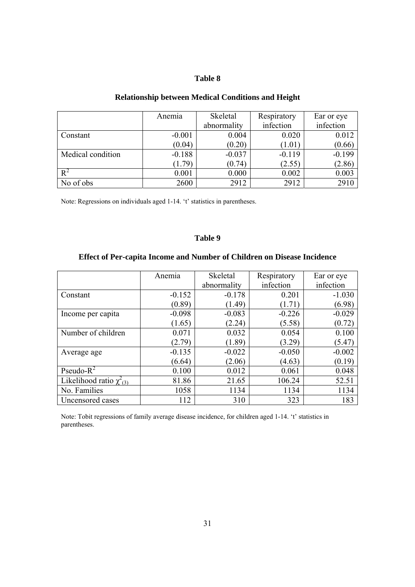# **Relationship between Medical Conditions and Height**

|                   | Anemia   | Skeletal    | Respiratory | Ear or eye |
|-------------------|----------|-------------|-------------|------------|
|                   |          | abnormality | infection   | infection  |
| Constant          | $-0.001$ | 0.004       | 0.020       | 0.012      |
|                   | (0.04)   | (0.20)      | (1.01)      | (0.66)     |
| Medical condition | $-0.188$ | $-0.037$    | $-0.119$    | $-0.199$   |
|                   | (1.79)   | (0.74)      | (2.55)      | (2.86)     |
| $R^2$             | 0.001    | 0.000       | 0.002       | 0.003      |
| No of obs         | 2600     | 2912        | 2912        | 2910       |

Note: Regressions on individuals aged 1-14. 't' statistics in parentheses.

### **Table 9**

# **Effect of Per-capita Income and Number of Children on Disease Incidence**

|                                 | Anemia   | Skeletal    | Respiratory | Ear or eye |
|---------------------------------|----------|-------------|-------------|------------|
|                                 |          | abnormality | infection   | infection  |
| Constant                        | $-0.152$ | $-0.178$    | 0.201       | $-1.030$   |
|                                 | (0.89)   | (1.49)      | (1.71)      | (6.98)     |
| Income per capita               | $-0.098$ | $-0.083$    | $-0.226$    | $-0.029$   |
|                                 | (1.65)   | (2.24)      | (5.58)      | (0.72)     |
| Number of children              | 0.071    | 0.032       | 0.054       | 0.100      |
|                                 | (2.79)   | (1.89)      | (3.29)      | (5.47)     |
| Average age                     | $-0.135$ | $-0.022$    | $-0.050$    | $-0.002$   |
|                                 | (6.64)   | (2.06)      | (4.63)      | (0.19)     |
| Pseudo- $R^2$                   | 0.100    | 0.012       | 0.061       | 0.048      |
| Likelihood ratio $\chi^2_{(3)}$ | 81.86    | 21.65       | 106.24      | 52.51      |
| No. Families                    | 1058     | 1134        | 1134        | 1134       |
| Uncensored cases                | 112      | 310         | 323         | 183        |

Note: Tobit regressions of family average disease incidence, for children aged 1-14. 't' statistics in parentheses.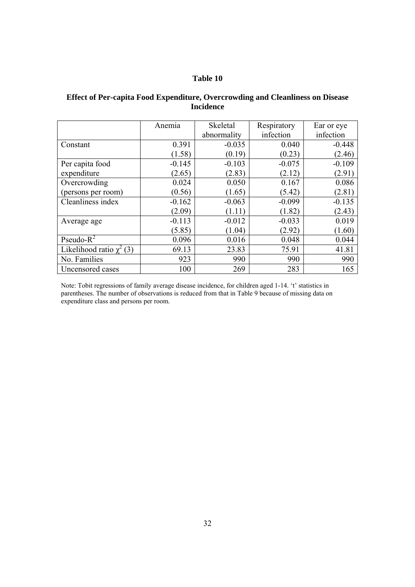## **Effect of Per-capita Food Expenditure, Overcrowding and Cleanliness on Disease Incidence**

|                                 | Anemia   | Skeletal    | Respiratory | Ear or eye |
|---------------------------------|----------|-------------|-------------|------------|
|                                 |          | abnormality | infection   | infection  |
| Constant                        | 0.391    | $-0.035$    | 0.040       | $-0.448$   |
|                                 | (1.58)   | (0.19)      | (0.23)      | (2.46)     |
| Per capita food                 | $-0.145$ | $-0.103$    | $-0.075$    | $-0.109$   |
| expenditure                     | (2.65)   | (2.83)      | (2.12)      | (2.91)     |
| Overcrowding                    | 0.024    | 0.050       | 0.167       | 0.086      |
| (persons per room)              | (0.56)   | (1.65)      | (5.42)      | (2.81)     |
| Cleanliness index               | $-0.162$ | $-0.063$    | $-0.099$    | $-0.135$   |
|                                 | (2.09)   | (1.11)      | (1.82)      | (2.43)     |
| Average age                     | $-0.113$ | $-0.012$    | $-0.033$    | 0.019      |
|                                 | (5.85)   | (1.04)      | (2.92)      | (1.60)     |
| Pseudo- $R^2$                   | 0.096    | 0.016       | 0.048       | 0.044      |
| Likelihood ratio $\gamma^2$ (3) | 69.13    | 23.83       | 75.91       | 41.81      |
| No. Families                    | 923      | 990         | 990         | 990        |
| Uncensored cases                | 100      | 269         | 283         | 165        |

Note: Tobit regressions of family average disease incidence, for children aged 1-14. 't' statistics in parentheses. The number of observations is reduced from that in Table 9 because of missing data on expenditure class and persons per room.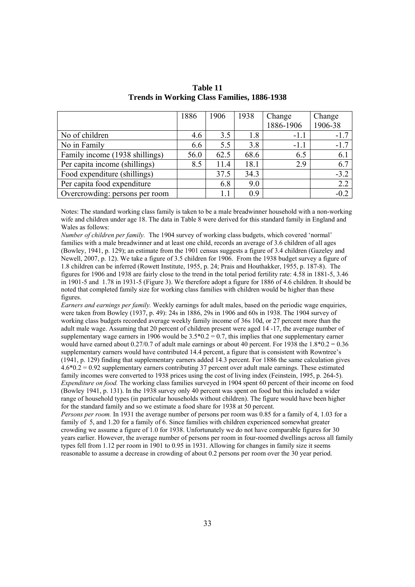|                                | 1886 | 1906 | 1938 | Change    | Change  |
|--------------------------------|------|------|------|-----------|---------|
|                                |      |      |      | 1886-1906 | 1906-38 |
| No of children                 | 4.6  | 3.5  | 1.8  | $-1.1$    | $-1.7$  |
| No in Family                   | 6.6  | 5.5  | 3.8  | $-1.1$    | $-1.7$  |
| Family income (1938 shillings) | 56.0 | 62.5 | 68.6 | 6.5       | 6.1     |
| Per capita income (shillings)  | 8.5  | 11.4 | 18.1 | 2.9       | 6.7     |
| Food expenditure (shillings)   |      | 37.5 | 34.3 |           | $-3.2$  |
| Per capita food expenditure    |      | 6.8  | 9.0  |           | 2.2     |
| Overcrowding: persons per room |      | 1.1  | 0.9  |           | $-0.2$  |

**Table 11 Trends in Working Class Families, 1886-1938** 

Notes: The standard working class family is taken to be a male breadwinner household with a non-working wife and children under age 18. The data in Table 8 were derived for this standard family in England and Wales as follows:

*Number of children per family.* The 1904 survey of working class budgets, which covered 'normal' families with a male breadwinner and at least one child, records an average of 3.6 children of all ages (Bowley, 1941, p. 129); an estimate from the 1901 census suggests a figure of 3.4 children (Gazeley and Newell, 2007, p. 12). We take a figure of 3.5 children for 1906. From the 1938 budget survey a figure of 1.8 children can be inferred (Rowett Institute, 1955, p. 24; Prais and Houthakker, 1955, p. 187-8). The figures for 1906 and 1938 are fairly close to the trend in the total period fertility rate: 4.58 in 1881-5, 3.46 in 1901-5 and 1.78 in 1931-5 (Figure 3). We therefore adopt a figure for 1886 of 4.6 children. It should be noted that completed family size for working class families with children would be higher than these figures.

*Earners and earnings per family.* Weekly earnings for adult males, based on the periodic wage enquiries, were taken from Bowley (1937, p. 49): 24s in 1886, 29s in 1906 and 60s in 1938. The 1904 survey of working class budgets recorded average weekly family income of 36s 10d, or 27 percent more than the adult male wage. Assuming that 20 percent of children present were aged 14 -17, the average number of supplementary wage earners in 1906 would be  $3.5*0.2 = 0.7$ , this implies that one supplementary earner would have earned about 0.27/0.7 of adult male earnings or about 40 percent. For 1938 the  $1.8*0.2 = 0.36$ supplementary earners would have contributed 14.4 percent, a figure that is consistent with Rowntree's (1941, p. 129) finding that supplementary earners added 14.3 percent. For 1886 the same calculation gives 4.6\*0.2 = 0.92 supplementary earners contributing 37 percent over adult male earnings. These estimated family incomes were converted to 1938 prices using the cost of living index (Feinstein, 1995, p. 264-5). *Expenditure on food.* The working class families surveyed in 1904 spent 60 percent of their income on food (Bowley 1941, p. 131). In the 1938 survey only 40 percent was spent on food but this included a wider range of household types (in particular households without children). The figure would have been higher for the standard family and so we estimate a food share for 1938 at 50 percent.

*Persons per room.* In 1931 the average number of persons per room was 0.85 for a family of 4, 1.03 for a family of 5, and 1.20 for a family of 6. Since families with children experienced somewhat greater crowding we assume a figure of 1.0 for 1938. Unfortunately we do not have comparable figures for 30 years earlier. However, the average number of persons per room in four-roomed dwellings across all family types fell from 1.12 per room in 1901 to 0.95 in 1931. Allowing for changes in family size it seems reasonable to assume a decrease in crowding of about 0.2 persons per room over the 30 year period.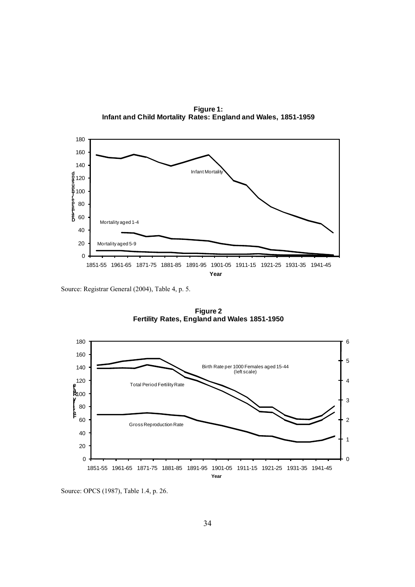

**Figure 1: Infant and Child Mortality Rates: England and Wales, 1851-1959**

Source: Registrar General (2004), Table 4, p. 5.



**Figure 2 Fertility Rates, England and Wales 1851-1950**

Source: OPCS (1987), Table 1.4, p. 26.